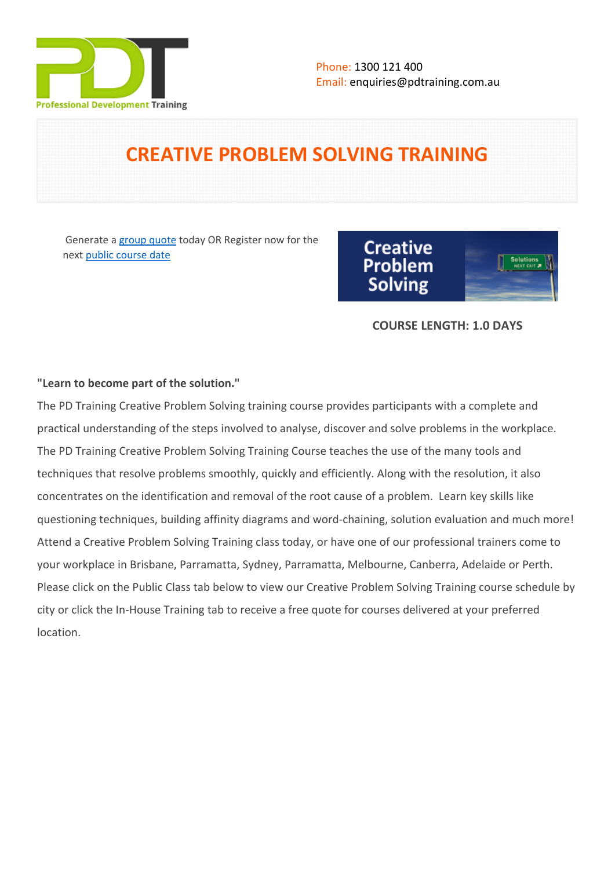

# **CREATIVE PROBLEM SOLVING TRAINING**

 Generate a [group quote](https://pdtraining.com.au/inhouse-training-quote?cse=PDT0010) today OR Register now for the next [public course date](https://pdtraining.com.au/booking?schedulecode=dCVrrrsejZSwmAIwZU3nN3MSnkhImxKgE1p4pGMSWmrPRXcz0UtAxjuk0cdgkT1UpM2vlNhsikBBL6aziRSCekSuGeemDFIcuGAf5RomNarnS3I3cN8CbzPe3HYgJ4ZMLxgfG4EBCGYd2EMNGkjZGf&countryCode=AU¤cyCode=AU)



# **COURSE LENGTH: 1.0 DAYS**

# **"Learn to become part of the solution."**

The PD Training Creative Problem Solving training course provides participants with a complete and practical understanding of the steps involved to analyse, discover and solve problems in the workplace. The PD Training Creative Problem Solving Training Course teaches the use of the many tools and techniques that resolve problems smoothly, quickly and efficiently. Along with the resolution, it also concentrates on the identification and removal of the root cause of a problem. Learn key skills like questioning techniques, building affinity diagrams and word-chaining, solution evaluation and much more! Attend a Creative Problem Solving Training class today, or have one of our professional trainers come to your workplace in Brisbane, Parramatta, Sydney, Parramatta, Melbourne, Canberra, Adelaide or Perth. Please click on the Public Class tab below to view our Creative Problem Solving Training course schedule by city or click the In-House Training tab to receive a free quote for courses delivered at your preferred location.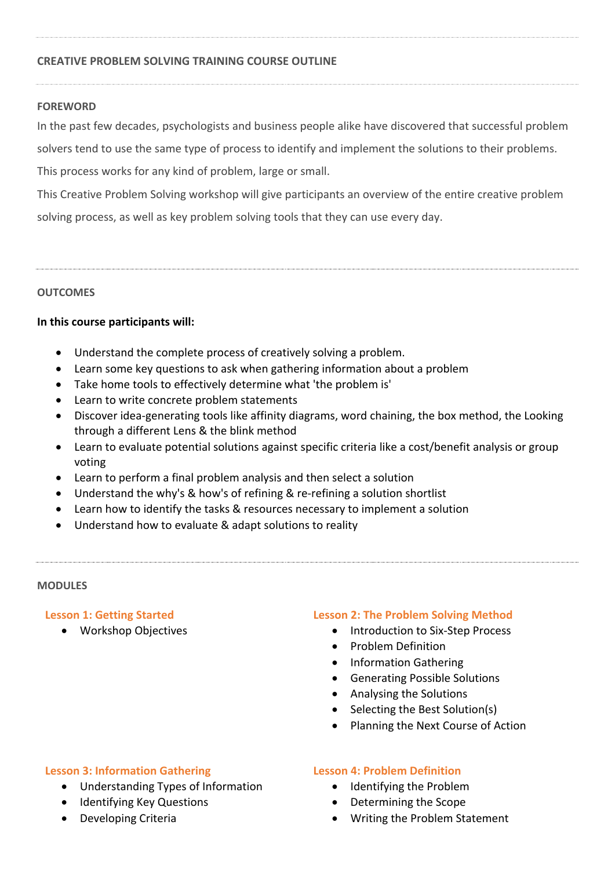# **CREATIVE PROBLEM SOLVING TRAINING COURSE OUTLINE**

## **FOREWORD**

In the past few decades, psychologists and business people alike have discovered that successful problem

solvers tend to use the same type of process to identify and implement the solutions to their problems.

This process works for any kind of problem, large or small.

This Creative Problem Solving workshop will give participants an overview of the entire creative problem solving process, as well as key problem solving tools that they can use every day.

## **OUTCOMES**

# **In this course participants will:**

- Understand the complete process of creatively solving a problem.
- Learn some key questions to ask when gathering information about a problem
- Take home tools to effectively determine what 'the problem is'
- Learn to write concrete problem statements
- Discover idea-generating tools like affinity diagrams, word chaining, the box method, the Looking through a different Lens & the blink method
- Learn to evaluate potential solutions against specific criteria like a cost/benefit analysis or group voting
- Learn to perform a final problem analysis and then select a solution
- Understand the why's & how's of refining & re-refining a solution shortlist
- Learn how to identify the tasks & resources necessary to implement a solution
- Understand how to evaluate & adapt solutions to reality

#### **MODULES**

# **Lesson 1: Getting Started**

Workshop Objectives

# **Lesson 2: The Problem Solving Method**

- Introduction to Six-Step Process
- Problem Definition
- Information Gathering
- Generating Possible Solutions
- Analysing the Solutions
- Selecting the Best Solution(s)
- Planning the Next Course of Action

# **Lesson 3: Information Gathering**

- Understanding Types of Information
- Identifying Key Questions
- Developing Criteria

#### **Lesson 4: Problem Definition**

- Identifying the Problem
- Determining the Scope
- Writing the Problem Statement